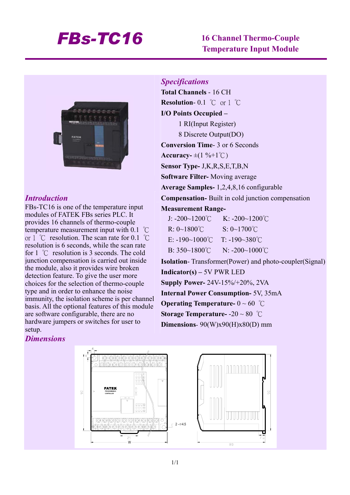## *FBs-TC16* **16 Channel Thermo-Couple**

# **Temperature Input Module**



### *Introduction*

FBs-TC16 is one of the temperature input modules of FATEK FBs series PLC. It provides 16 channels of thermo-couple temperature measurement input with 0.1 ℃ or 1 ℃ resolution. The scan rate for 0.1 ℃ resolution is 6 seconds, while the scan rate for 1 ℃ resolution is 3 seconds. The cold junction compensation is carried out inside the module, also it provides wire broken detection feature. To give the user more choices for the selection of thermo-couple type and in order to enhance the noise immunity, the isolation scheme is per channel basis. All the optional features of this module are software configurable, there are no hardware jumpers or switches for user to setup.

## *Specifications*

**Total Channels** - 16 CH **Resolution**- 0.1 ℃ or 1 ℃ **I/O Points Occupied –**  1 RI(Input Register) 8 Discrete Output(DO) **Conversion Time**- 3 or 6 Seconds  $\textbf{Accuracy} = \pm (1 \, \% + 1 \, ^{\circ}\text{C})$ **Sensor Type-** J,K,R,S,E,T,B,N **Software Filter-** Moving average **Average Samples-** 1,2,4,8,16 configurable **Compensation-** Built in cold junction compensation **Measurement Range-**J: -200~1200℃ K: -200~1200℃ R: 0~1800℃ S: 0~1700℃ E:  $-190~1000$ °C T:  $-190~380$ °C  $B: 350~1800°C$  N: -200~1000°C **Isolation**- Transformer(Power) and photo-coupler(Signal) **Indicator(s) –** 5V PWR LED **Supply Power-** 24V-15%/+20%, 2VA **Internal Power Consumption-** 5V, 35mA **Operating Temperature-** 0 ~ 60 ℃ **Storage Temperature-** -20 ~ 80 ℃

**Dimensions**- 90(W)x90(H)x80(D) mm

#### *Dimensions*

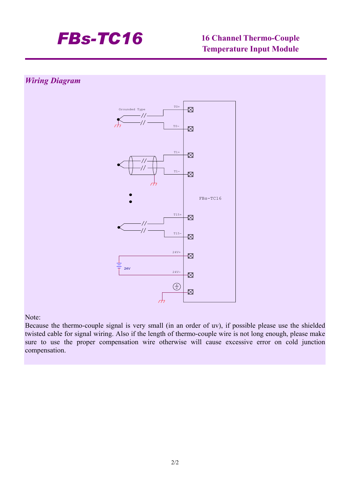

# **Temperature Input Module**

### *Wiring Diagram*



#### Note:

Because the thermo-couple signal is very small (in an order of uv), if possible please use the shielded twisted cable for signal wiring. Also if the length of thermo-couple wire is not long enough, please make sure to use the proper compensation wire otherwise will cause excessive error on cold junction compensation.